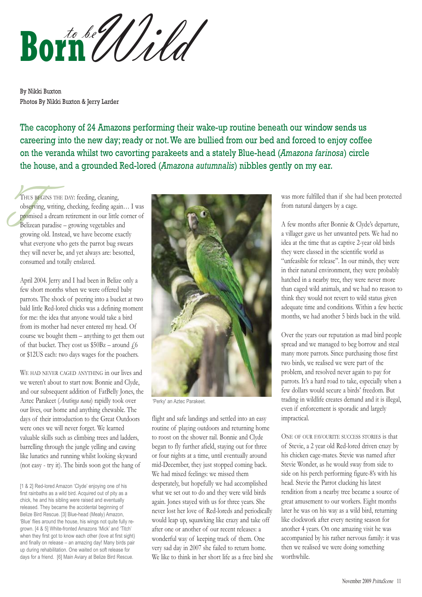**Born**Wild to be

By Nikki Buxton Photos By Nikki Buxton & Jerry Larder

The cacophony of 24 Amazons performing their wake-up routine beneath our window sends us careering into the new day; ready or not. We are bullied from our bed and forced to enjoy coffee on the veranda whilst two cavorting parakeets and a stately Blue-head (*Amazona farinosa*) circle the house, and a grounded Red-lored (*Amazona autumnalis*) nibbles gently on my ear.

THUS B<br>THUS B<br>Observi<br>Promis THUS BEGINS THE DAY: feeding, cleaning, observing, writing, checking, feeding again… I was promised a dream retirement in our little corner of Belizean paradise – growing vegetables and growing old. Instead, we have become exactly what everyone who gets the parrot bug swears they will never be, and yet always are: besotted, consumed and totally enslaved.

> April 2004. Jerry and I had been in Belize only a few short months when we were offered baby parrots. The shock of peering into a bucket at two bald little Red-lored chicks was a defining moment for me: the idea that anyone would take a bird from its mother had never entered my head. Of course we bought them – anything to get them out of that bucket. They cost us  $$50Bz - around f_0$ or \$12US each: two days wages for the poachers.

> WE HAD NEVER CAGED ANYTHING in our lives and we weren't about to start now. Bonnie and Clyde, and our subsequent addition of FatBelly Jones, the Aztec Parakeet (*Aratinga nana*) rapidly took over our lives, our home and anything chewable. The days of their introduction to the Great Outdoors were ones we will never forget. We learned valuable skills such as climbing trees and ladders, barrelling through the jungle yelling and cawing like lunatics and running whilst looking skyward (not easy - try it). The birds soon got the hang of



'Perky' an Aztec Parakeet.

flight and safe landings and settled into an easy routine of playing outdoors and returning home to roost on the shower rail. Bonnie and Clyde began to fly further afield, staying out for three or four nights at a time, until eventually around mid-December, they just stopped coming back. We had mixed feelings: we missed them desperately, but hopefully we had accomplished what we set out to do and they were wild birds again. Jones stayed with us for three years. She never lost her love of Red-loreds and periodically would leap up, squawking like crazy and take off after one or another of our recent releases: a wonderful way of keeping track of them. One very sad day in 2007 she failed to return home. We like to think in her short life as a free bird she was more fulfilled than if she had been protected from natural dangers by a cage.

A few months after Bonnie & Clyde's departure, a villager gave us her unwanted pets. We had no idea at the time that as captive 2-year old birds they were classed in the scientific world as "unfeasible for release". In our minds, they were in their natural environment, they were probably hatched in a nearby tree, they were never more than caged wild animals, and we had no reason to think they would not revert to wild status given adequate time and conditions. Within a few hectic months, we had another 5 birds back in the wild.

Over the years our reputation as mad bird people spread and we managed to beg borrow and steal many more parrots. Since purchasing those first two birds, we realised we were part of the problem, and resolved never again to pay for parrots. It's a hard road to take, especially when a few dollars would secure a birds' freedom. But trading in wildlife creates demand and it is illegal, even if enforcement is sporadic and largely impractical.

ONE OF OUR FAVOURITE SUCCESS STORIES is that of Stevie, a 2 year old Red-lored driven crazy by his chicken cage-mates. Stevie was named after Stevie Wonder, as he would sway from side to side on his perch performing figure-8's with his head. Stevie the Parrot clucking his latest rendition from a nearby tree became a source of great amusement to our workers. Eight months later he was on his way as a wild bird, returning like clockwork after every nesting season for another 4 years. On one amazing visit he was accompanied by his rather nervous family: it was then we realised we were doing something worthwhile.

<sup>[1 &</sup>amp; 2] Red-lored Amazon 'Clyde' enjoying one of his first rainbaths as a wild bird. Acquired out of pity as a chick, he and his sibling were raised and eventually released. They became the accidental beginning of Belize Bird Rescue. [3] Blue-head (Mealy) Amazon, 'Blue' flies around the house, his wings not quite fully regrown. [4 & 5] White-fronted Amazons 'Mick' and 'Titch' when they first got to know each other (love at first sight) and finally on release – an amazing day! Many birds pair up during rehabilitation. One waited on soft release for days for a friend. [6] Main Aviary at Belize Bird Rescue.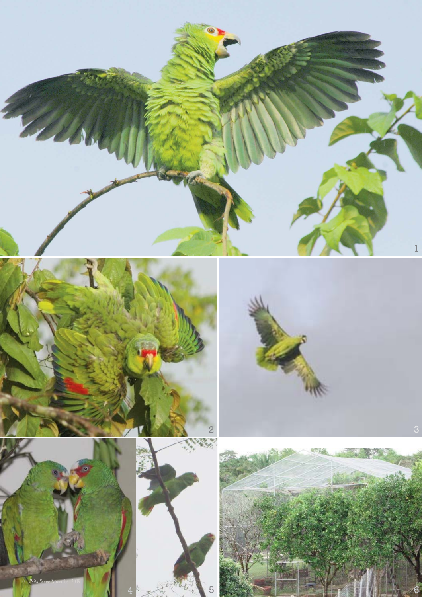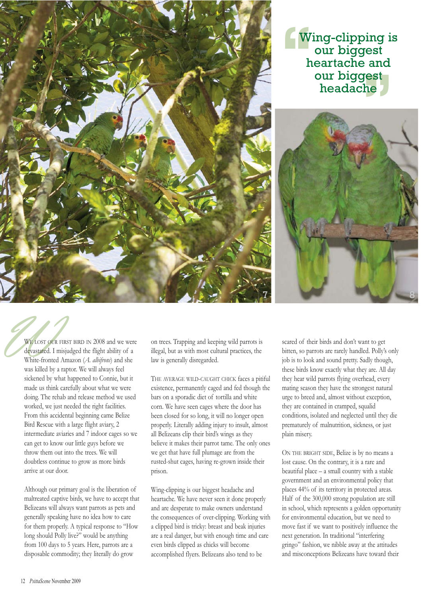





WE LOST OF WE LOST OUR FIRST BIRD IN 2008 and we were devastated. I misjudged the flight ability of a White-fronted Amazon (*A. albifrons*) and she was killed by a raptor. We will always feel sickened by what happened to Connie, but it made us think carefully about what we were doing. The rehab and release method we used worked, we just needed the right facilities. From this accidental beginning came Belize Bird Rescue with a large flight aviary, 2 intermediate aviaries and 7 indoor cages so we can get to know our little guys before we throw them out into the trees. We will doubtless continue to grow as more birds arrive at our door.

> Although our primary goal is the liberation of maltreated captive birds, we have to accept that Belizeans will always want parrots as pets and generally speaking have no idea how to care for them properly. A typical response to "How long should Polly live?" would be anything from 100 days to 5 years. Here, parrots are a disposable commodity; they literally do grow

on trees. Trapping and keeping wild parrots is illegal, but as with most cultural practices, the law is generally disregarded.

THE AVERAGE WILD-CAUGHT CHICK faces a pitiful existence, permanently caged and fed though the bars on a sporadic diet of tortilla and white corn. We have seen cages where the door has been closed for so long, it will no longer open properly. Literally adding injury to insult, almost all Belizeans clip their bird's wings as they believe it makes their parrot tame. The only ones we get that have full plumage are from the rusted-shut cages, having re-grown inside their prison.

Wing-clipping is our biggest headache and heartache. We have never seen it done properly and are desperate to make owners understand the consequences of over-clipping. Working with a clipped bird is tricky: breast and beak injuries are a real danger, but with enough time and care even birds clipped as chicks will become accomplished flyers. Belizeans also tend to be

scared of their birds and don't want to get bitten, so parrots are rarely handled. Polly's only job is to look and sound pretty. Sadly though, these birds know exactly what they are. All day they hear wild parrots flying overhead, every mating season they have the strongest natural urge to breed and, almost without exception, they are contained in cramped, squalid conditions, isolated and neglected until they die prematurely of malnutrition, sickness, or just plain misery.

ON THE BRIGHT SIDE, Belize is by no means a lost cause. On the contrary, it is a rare and beautiful place – a small country with a stable government and an environmental policy that places 44% of its territory in protected areas. Half of the 300,000 strong population are still in school, which represents a golden opportunity for environmental education, but we need to move fast if we want to positively influence the next generation. In traditional "interfering gringo" fashion, we nibble away at the attitudes and misconceptions Belizeans have toward their